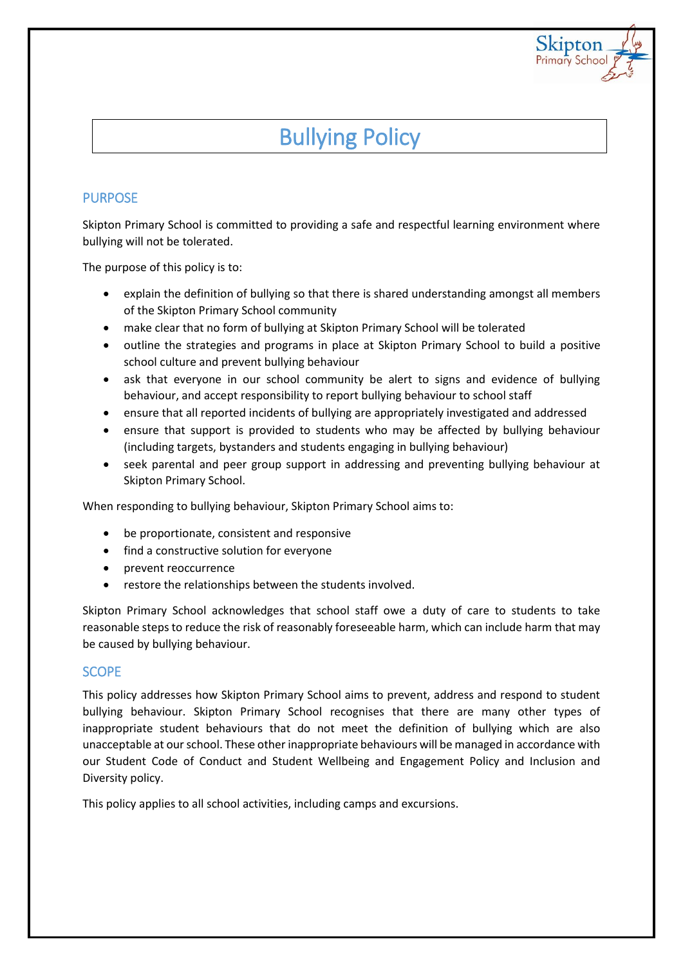

# Bullying Policy

## PURPOSE

Skipton Primary School is committed to providing a safe and respectful learning environment where bullying will not be tolerated.

The purpose of this policy is to:

- explain the definition of bullying so that there is shared understanding amongst all members of the Skipton Primary School community
- make clear that no form of bullying at Skipton Primary School will be tolerated
- outline the strategies and programs in place at Skipton Primary School to build a positive school culture and prevent bullying behaviour
- ask that everyone in our school community be alert to signs and evidence of bullying behaviour, and accept responsibility to report bullying behaviour to school staff
- ensure that all reported incidents of bullying are appropriately investigated and addressed
- ensure that support is provided to students who may be affected by bullying behaviour (including targets, bystanders and students engaging in bullying behaviour)
- seek parental and peer group support in addressing and preventing bullying behaviour at Skipton Primary School.

When responding to bullying behaviour, Skipton Primary School aims to:

- be proportionate, consistent and responsive
- find a constructive solution for everyone
- prevent reoccurrence
- restore the relationships between the students involved.

Skipton Primary School acknowledges that school staff owe a duty of care to students to take reasonable steps to reduce the risk of reasonably foreseeable harm, which can include harm that may be caused by bullying behaviour.

## **SCOPE**

This policy addresses how Skipton Primary School aims to prevent, address and respond to student bullying behaviour. Skipton Primary School recognises that there are many other types of inappropriate student behaviours that do not meet the definition of bullying which are also unacceptable at our school. These other inappropriate behaviours will be managed in accordance with our Student Code of Conduct and Student Wellbeing and Engagement Policy and Inclusion and Diversity policy.

This policy applies to all school activities, including camps and excursions.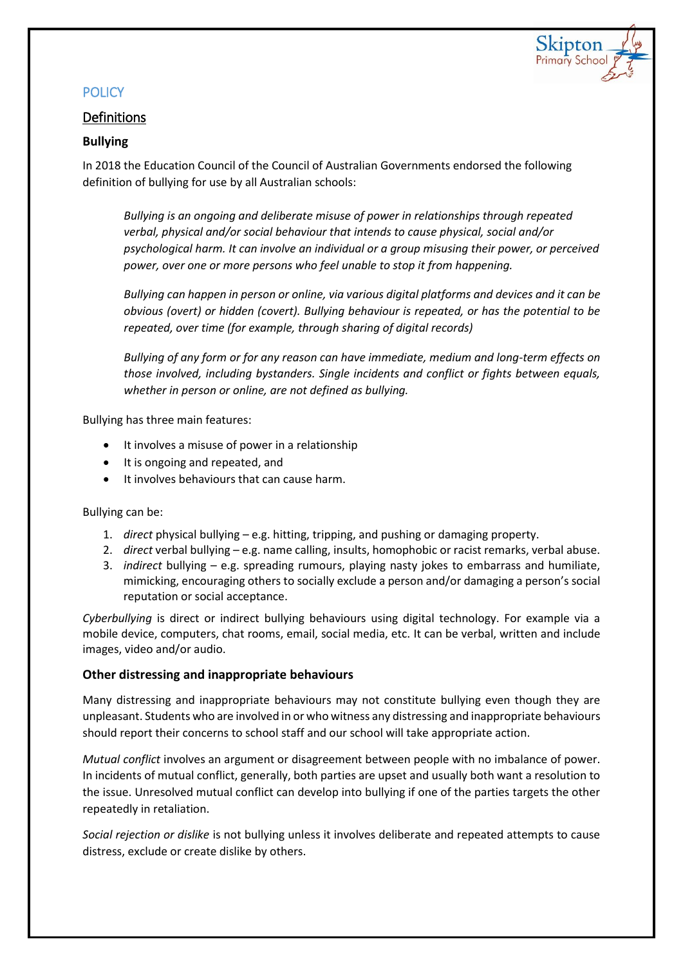

## **POLICY**

## **Definitions**

## **Bullying**

In 2018 the Education Council of the Council of Australian Governments endorsed the following definition of bullying for use by all Australian schools:

*Bullying is an ongoing and deliberate misuse of power in relationships through repeated verbal, physical and/or social behaviour that intends to cause physical, social and/or psychological harm. It can involve an individual or a group misusing their power, or perceived power, over one or more persons who feel unable to stop it from happening.*

*Bullying can happen in person or online, via various digital platforms and devices and it can be obvious (overt) or hidden (covert). Bullying behaviour is repeated, or has the potential to be repeated, over time (for example, through sharing of digital records)*

*Bullying of any form or for any reason can have immediate, medium and long-term effects on those involved, including bystanders. Single incidents and conflict or fights between equals, whether in person or online, are not defined as bullying.*

Bullying has three main features:

- It involves a misuse of power in a relationship
- It is ongoing and repeated, and
- It involves behaviours that can cause harm.

Bullying can be:

- 1. *direct* physical bullying e.g. hitting, tripping, and pushing or damaging property.
- 2. *direct* verbal bullying e.g. name calling, insults, homophobic or racist remarks, verbal abuse.
- 3. *indirect* bullying e.g. spreading rumours, playing nasty jokes to embarrass and humiliate, mimicking, encouraging others to socially exclude a person and/or damaging a person's social reputation or social acceptance.

*Cyberbullying* is direct or indirect bullying behaviours using digital technology. For example via a mobile device, computers, chat rooms, email, social media, etc. It can be verbal, written and include images, video and/or audio.

## **Other distressing and inappropriate behaviours**

Many distressing and inappropriate behaviours may not constitute bullying even though they are unpleasant. Students who are involved in or who witness any distressing and inappropriate behaviours should report their concerns to school staff and our school will take appropriate action.

*Mutual conflict* involves an argument or disagreement between people with no imbalance of power. In incidents of mutual conflict, generally, both parties are upset and usually both want a resolution to the issue. Unresolved mutual conflict can develop into bullying if one of the parties targets the other repeatedly in retaliation.

*Social rejection or dislike* is not bullying unless it involves deliberate and repeated attempts to cause distress, exclude or create dislike by others.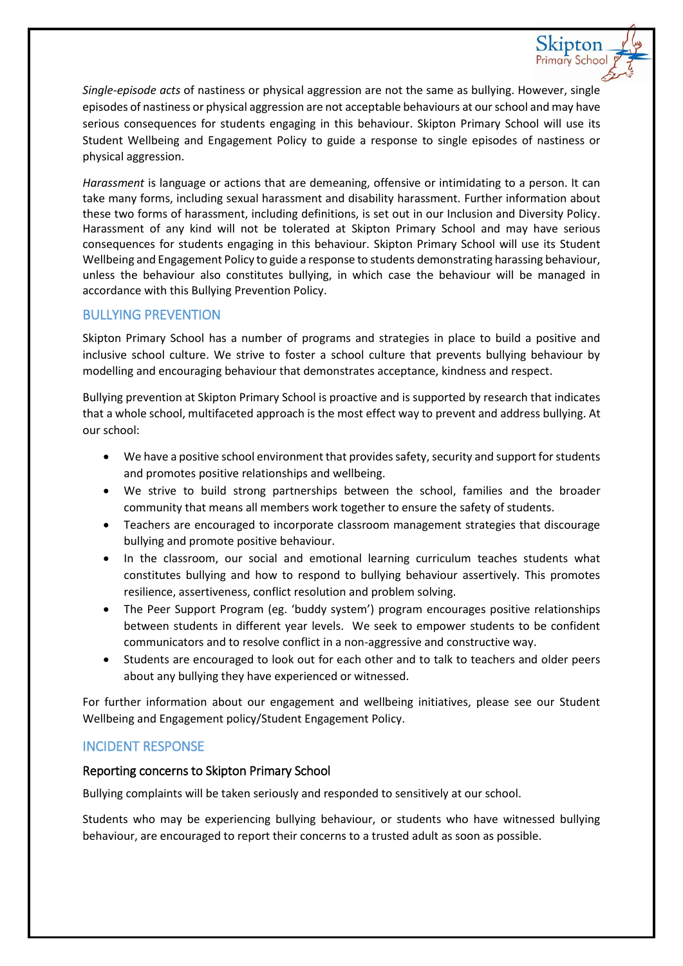*Single-episode acts* of nastiness or physical aggression are not the same as bullying. However, single episodes of nastiness or physical aggression are not acceptable behaviours at our school and may have serious consequences for students engaging in this behaviour. Skipton Primary School will use its Student Wellbeing and Engagement Policy to guide a response to single episodes of nastiness or physical aggression.

Skipton Primary School

*Harassment* is language or actions that are demeaning, offensive or intimidating to a person. It can take many forms, including sexual harassment and disability harassment. Further information about these two forms of harassment, including definitions, is set out in our Inclusion and Diversity Policy. Harassment of any kind will not be tolerated at Skipton Primary School and may have serious consequences for students engaging in this behaviour. Skipton Primary School will use its Student Wellbeing and Engagement Policy to guide a response to students demonstrating harassing behaviour, unless the behaviour also constitutes bullying, in which case the behaviour will be managed in accordance with this Bullying Prevention Policy.

## BULLYING PREVENTION

Skipton Primary School has a number of programs and strategies in place to build a positive and inclusive school culture. We strive to foster a school culture that prevents bullying behaviour by modelling and encouraging behaviour that demonstrates acceptance, kindness and respect.

Bullying prevention at Skipton Primary School is proactive and is supported by research that indicates that a whole school, multifaceted approach is the most effect way to prevent and address bullying. At our school:

- We have a positive school environment that provides safety, security and support for students and promotes positive relationships and wellbeing.
- We strive to build strong partnerships between the school, families and the broader community that means all members work together to ensure the safety of students.
- Teachers are encouraged to incorporate classroom management strategies that discourage bullying and promote positive behaviour.
- In the classroom, our social and emotional learning curriculum teaches students what constitutes bullying and how to respond to bullying behaviour assertively. This promotes resilience, assertiveness, conflict resolution and problem solving.
- The Peer Support Program (eg. 'buddy system') program encourages positive relationships between students in different year levels. We seek to empower students to be confident communicators and to resolve conflict in a non-aggressive and constructive way.
- Students are encouraged to look out for each other and to talk to teachers and older peers about any bullying they have experienced or witnessed.

For further information about our engagement and wellbeing initiatives, please see our Student Wellbeing and Engagement policy/Student Engagement Policy.

## INCIDENT RESPONSE

## Reporting concerns to Skipton Primary School

Bullying complaints will be taken seriously and responded to sensitively at our school.

Students who may be experiencing bullying behaviour, or students who have witnessed bullying behaviour, are encouraged to report their concerns to a trusted adult as soon as possible.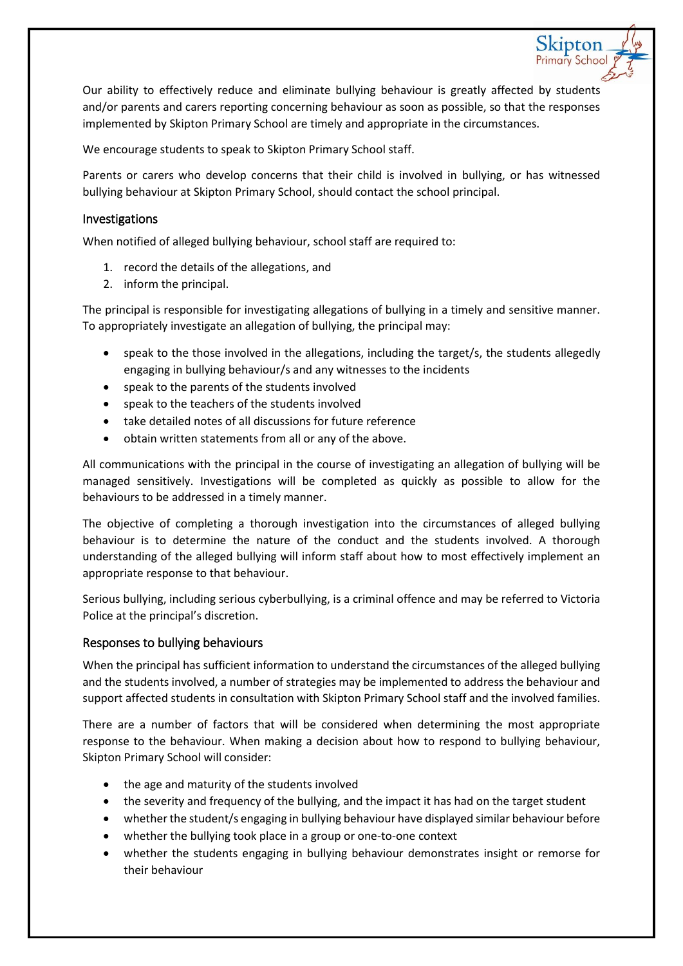Our ability to effectively reduce and eliminate bullying behaviour is greatly affected by students and/or parents and carers reporting concerning behaviour as soon as possible, so that the responses implemented by Skipton Primary School are timely and appropriate in the circumstances.

Skipton Primary School

We encourage students to speak to Skipton Primary School staff.

Parents or carers who develop concerns that their child is involved in bullying, or has witnessed bullying behaviour at Skipton Primary School, should contact the school principal.

#### Investigations

When notified of alleged bullying behaviour, school staff are required to:

- 1. record the details of the allegations, and
- 2. inform the principal.

The principal is responsible for investigating allegations of bullying in a timely and sensitive manner. To appropriately investigate an allegation of bullying, the principal may:

- speak to the those involved in the allegations, including the target/s, the students allegedly engaging in bullying behaviour/s and any witnesses to the incidents
- speak to the parents of the students involved
- speak to the teachers of the students involved
- take detailed notes of all discussions for future reference
- obtain written statements from all or any of the above.

All communications with the principal in the course of investigating an allegation of bullying will be managed sensitively. Investigations will be completed as quickly as possible to allow for the behaviours to be addressed in a timely manner.

The objective of completing a thorough investigation into the circumstances of alleged bullying behaviour is to determine the nature of the conduct and the students involved. A thorough understanding of the alleged bullying will inform staff about how to most effectively implement an appropriate response to that behaviour.

Serious bullying, including serious cyberbullying, is a criminal offence and may be referred to Victoria Police at the principal's discretion.

## Responses to bullying behaviours

When the principal has sufficient information to understand the circumstances of the alleged bullying and the students involved, a number of strategies may be implemented to address the behaviour and support affected students in consultation with Skipton Primary School staff and the involved families.

There are a number of factors that will be considered when determining the most appropriate response to the behaviour. When making a decision about how to respond to bullying behaviour, Skipton Primary School will consider:

- the age and maturity of the students involved
- the severity and frequency of the bullying, and the impact it has had on the target student
- whether the student/s engaging in bullying behaviour have displayed similar behaviour before
- whether the bullying took place in a group or one-to-one context
- whether the students engaging in bullying behaviour demonstrates insight or remorse for their behaviour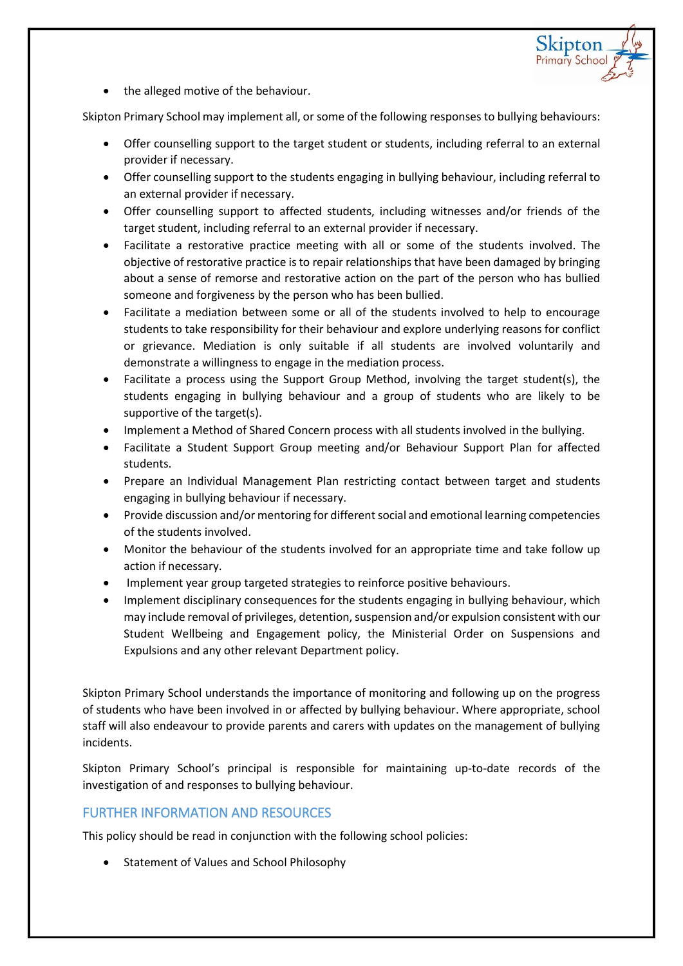

• the alleged motive of the behaviour.

Skipton Primary School may implement all, or some of the following responses to bullying behaviours:

- Offer counselling support to the target student or students, including referral to an external provider if necessary.
- Offer counselling support to the students engaging in bullying behaviour, including referral to an external provider if necessary.
- Offer counselling support to affected students, including witnesses and/or friends of the target student, including referral to an external provider if necessary.
- Facilitate a restorative practice meeting with all or some of the students involved. The objective of restorative practice is to repair relationships that have been damaged by bringing about a sense of remorse and restorative action on the part of the person who has bullied someone and forgiveness by the person who has been bullied.
- Facilitate a mediation between some or all of the students involved to help to encourage students to take responsibility for their behaviour and explore underlying reasons for conflict or grievance. Mediation is only suitable if all students are involved voluntarily and demonstrate a willingness to engage in the mediation process.
- Facilitate a process using the Support Group Method, involving the target student(s), the students engaging in bullying behaviour and a group of students who are likely to be supportive of the target(s).
- Implement a Method of Shared Concern process with all students involved in the bullying.
- Facilitate a Student Support Group meeting and/or Behaviour Support Plan for affected students.
- Prepare an Individual Management Plan restricting contact between target and students engaging in bullying behaviour if necessary.
- Provide discussion and/or mentoring for different social and emotional learning competencies of the students involved.
- Monitor the behaviour of the students involved for an appropriate time and take follow up action if necessary.
- Implement year group targeted strategies to reinforce positive behaviours.
- Implement disciplinary consequences for the students engaging in bullying behaviour, which may include removal of privileges, detention, suspension and/or expulsion consistent with our Student Wellbeing and Engagement policy, the Ministerial Order on Suspensions and Expulsions and any other relevant Department policy.

Skipton Primary School understands the importance of monitoring and following up on the progress of students who have been involved in or affected by bullying behaviour. Where appropriate, school staff will also endeavour to provide parents and carers with updates on the management of bullying incidents.

Skipton Primary School's principal is responsible for maintaining up-to-date records of the investigation of and responses to bullying behaviour.

## FURTHER INFORMATION AND RESOURCES

This policy should be read in conjunction with the following school policies:

• Statement of Values and School Philosophy